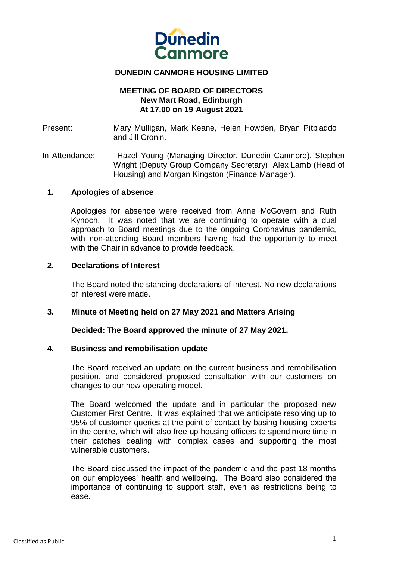

# **DUNEDIN CANMORE HOUSING LIMITED**

# **MEETING OF BOARD OF DIRECTORS New Mart Road, Edinburgh At 17.00 on 19 August 2021**

Present: Mary Mulligan, Mark Keane, Helen Howden, Bryan Pitbladdo and Jill Cronin.

In Attendance: Hazel Young (Managing Director, Dunedin Canmore), Stephen Wright (Deputy Group Company Secretary), Alex Lamb (Head of Housing) and Morgan Kingston (Finance Manager).

#### **1. Apologies of absence**

Apologies for absence were received from Anne McGovern and Ruth Kynoch. It was noted that we are continuing to operate with a dual approach to Board meetings due to the ongoing Coronavirus pandemic, with non-attending Board members having had the opportunity to meet with the Chair in advance to provide feedback.

#### **2. Declarations of Interest**

The Board noted the standing declarations of interest. No new declarations of interest were made.

# **3. Minute of Meeting held on 27 May 2021 and Matters Arising**

**Decided: The Board approved the minute of 27 May 2021.**

#### **4. Business and remobilisation update**

The Board received an update on the current business and remobilisation position, and considered proposed consultation with our customers on changes to our new operating model.

The Board welcomed the update and in particular the proposed new Customer First Centre. It was explained that we anticipate resolving up to 95% of customer queries at the point of contact by basing housing experts in the centre, which will also free up housing officers to spend more time in their patches dealing with complex cases and supporting the most vulnerable customers.

The Board discussed the impact of the pandemic and the past 18 months on our employees' health and wellbeing. The Board also considered the importance of continuing to support staff, even as restrictions being to ease.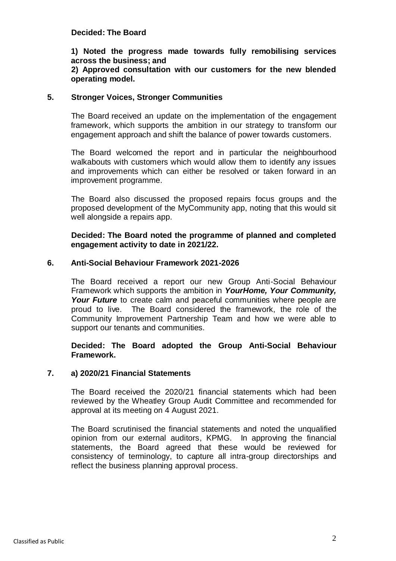# **Decided: The Board**

# **1) Noted the progress made towards fully remobilising services across the business; and**

# **2) Approved consultation with our customers for the new blended operating model.**

#### **5. Stronger Voices, Stronger Communities**

The Board received an update on the implementation of the engagement framework, which supports the ambition in our strategy to transform our engagement approach and shift the balance of power towards customers.

The Board welcomed the report and in particular the neighbourhood walkabouts with customers which would allow them to identify any issues and improvements which can either be resolved or taken forward in an improvement programme.

The Board also discussed the proposed repairs focus groups and the proposed development of the MyCommunity app, noting that this would sit well alongside a repairs app.

# **Decided: The Board noted the programme of planned and completed engagement activity to date in 2021/22.**

# **6. Anti-Social Behaviour Framework 2021-2026**

The Board received a report our new Group Anti-Social Behaviour Framework which supports the ambition in *YourHome, Your Community, Your Future* to create calm and peaceful communities where people are proud to live. The Board considered the framework, the role of the Community Improvement Partnership Team and how we were able to support our tenants and communities.

# **Decided: The Board adopted the Group Anti-Social Behaviour Framework.**

#### **7. a) 2020/21 Financial Statements**

The Board received the 2020/21 financial statements which had been reviewed by the Wheatley Group Audit Committee and recommended for approval at its meeting on 4 August 2021.

The Board scrutinised the financial statements and noted the unqualified opinion from our external auditors, KPMG. In approving the financial statements, the Board agreed that these would be reviewed for consistency of terminology, to capture all intra-group directorships and reflect the business planning approval process.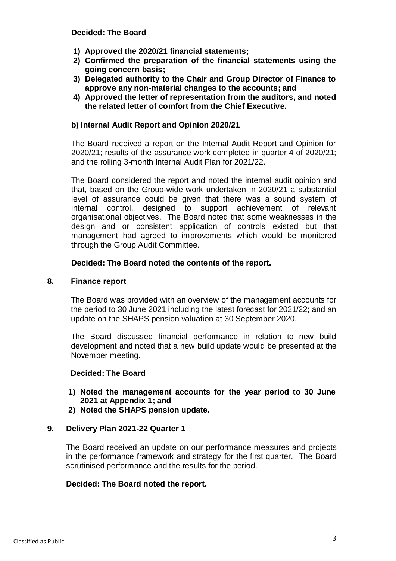#### **Decided: The Board**

- **1) Approved the 2020/21 financial statements;**
- **2) Confirmed the preparation of the financial statements using the going concern basis;**
- **3) Delegated authority to the Chair and Group Director of Finance to approve any non-material changes to the accounts; and**
- **4) Approved the letter of representation from the auditors, and noted the related letter of comfort from the Chief Executive.**

# **b) Internal Audit Report and Opinion 2020/21**

The Board received a report on the Internal Audit Report and Opinion for 2020/21; results of the assurance work completed in quarter 4 of 2020/21; and the rolling 3-month Internal Audit Plan for 2021/22.

The Board considered the report and noted the internal audit opinion and that, based on the Group-wide work undertaken in 2020/21 a substantial level of assurance could be given that there was a sound system of internal control, designed to support achievement of relevant organisational objectives. The Board noted that some weaknesses in the design and or consistent application of controls existed but that management had agreed to improvements which would be monitored through the Group Audit Committee.

# **Decided: The Board noted the contents of the report.**

#### **8. Finance report**

The Board was provided with an overview of the management accounts for the period to 30 June 2021 including the latest forecast for 2021/22; and an update on the SHAPS pension valuation at 30 September 2020.

The Board discussed financial performance in relation to new build development and noted that a new build update would be presented at the November meeting.

#### **Decided: The Board**

- **1) Noted the management accounts for the year period to 30 June 2021 at Appendix 1; and**
- **2) Noted the SHAPS pension update.**

#### **9. Delivery Plan 2021-22 Quarter 1**

The Board received an update on our performance measures and projects in the performance framework and strategy for the first quarter. The Board scrutinised performance and the results for the period.

#### **Decided: The Board noted the report.**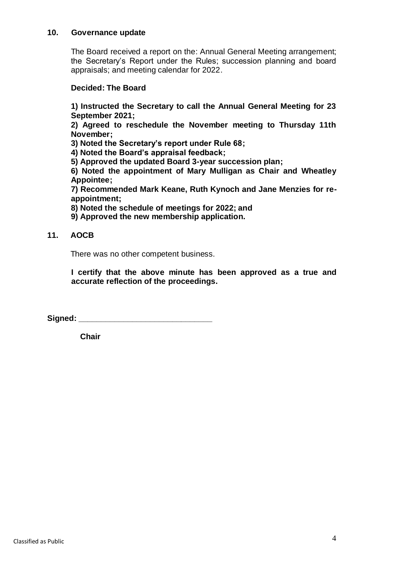# **10. Governance update**

The Board received a report on the: Annual General Meeting arrangement; the Secretary's Report under the Rules; succession planning and board appraisals; and meeting calendar for 2022.

# **Decided: The Board**

**1) Instructed the Secretary to call the Annual General Meeting for 23 September 2021;**

**2) Agreed to reschedule the November meeting to Thursday 11th November;**

**3) Noted the Secretary's report under Rule 68;**

**4) Noted the Board's appraisal feedback;**

**5) Approved the updated Board 3-year succession plan;**

**6) Noted the appointment of Mary Mulligan as Chair and Wheatley Appointee;**

**7) Recommended Mark Keane, Ruth Kynoch and Jane Menzies for reappointment;**

**8) Noted the schedule of meetings for 2022; and**

**9) Approved the new membership application.**

# **11. AOCB**

There was no other competent business.

**I certify that the above minute has been approved as a true and accurate reflection of the proceedings.**

Signed:

 **Chair**